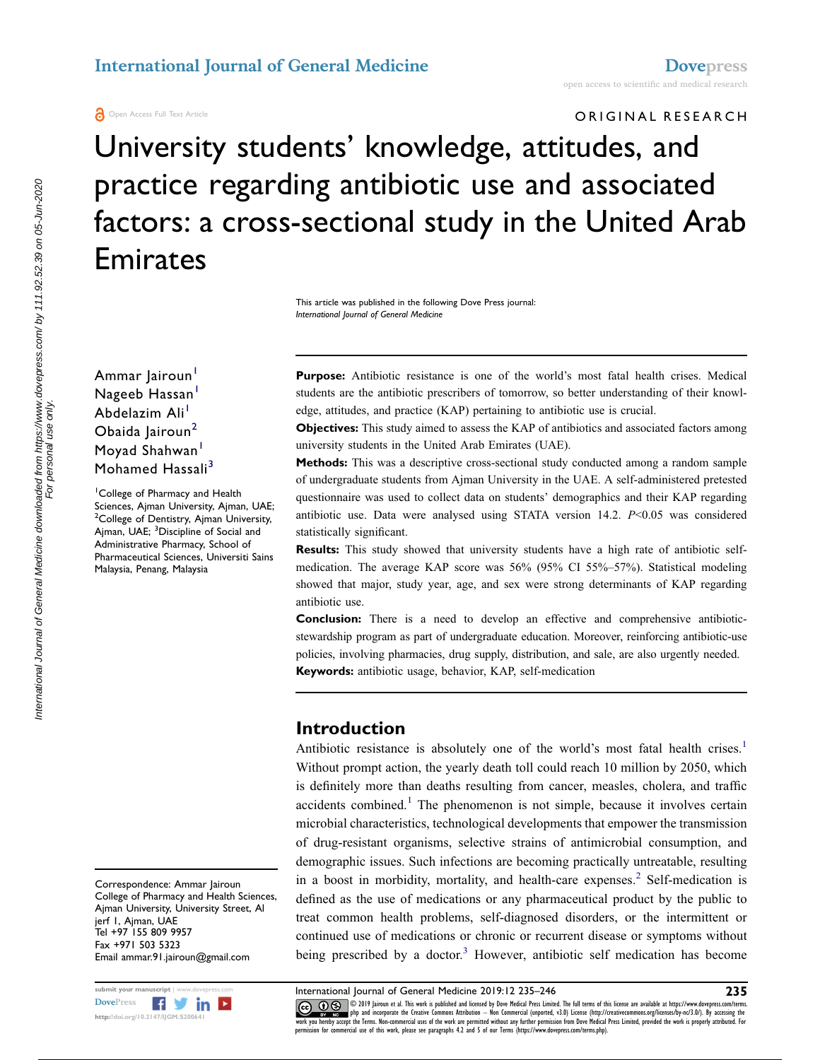Open Access Full Text Article

ORIGINAL RESEARCH

University students' knowledge, attitudes, and practice regarding antibiotic use and associated factors: a cross-sectional study in the United Arab Emirates

> This article was published in the following Dove Press journal: International Journal of General Medicine

Ammar Jairoun<sup>[1](#page-0-0)</sup> Nageeb Hassan<sup>[1](#page-0-0)</sup> Abdelazim Ali<sup>[1](#page-0-0)</sup> Obaida Jairoun<sup>[2](#page-0-1)</sup> Moyad Shahwan<sup>[1](#page-0-0)</sup> Mohamed Hassali<sup>[3](#page-0-2)</sup>

<span id="page-0-2"></span><span id="page-0-1"></span><span id="page-0-0"></span>1 College of Pharmacy and Health Sciences, Ajman University, Ajman, UAE; <sup>2</sup> College of Dentistry, Ajman University, Ajman, UAE; <sup>3</sup>Discipline of Social and Administrative Pharmacy, School of Pharmaceutical Sciences, Universiti Sains Malaysia, Penang, Malaysia

Correspondence: Ammar Jairoun College of Pharmacy and Health Sciences, Ajman University, University Street, Al jerf 1, Ajman, UAE Tel +97 155 809 9957 Fax +971 503 5323 Email ammar.91.jairoun@gmail.com



Purpose: Antibiotic resistance is one of the world's most fatal health crises. Medical students are the antibiotic prescribers of tomorrow, so better understanding of their knowledge, attitudes, and practice (KAP) pertaining to antibiotic use is crucial.

Objectives: This study aimed to assess the KAP of antibiotics and associated factors among university students in the United Arab Emirates (UAE).

Methods: This was a descriptive cross-sectional study conducted among a random sample of undergraduate students from Ajman University in the UAE. A self-administered pretested questionnaire was used to collect data on students' demographics and their KAP regarding antibiotic use. Data were analysed using STATA version  $14.2$ .  $P<0.05$  was considered statistically significant.

Results: This study showed that university students have a high rate of antibiotic selfmedication. The average KAP score was 56% (95% CI 55%–57%). Statistical modeling showed that major, study year, age, and sex were strong determinants of KAP regarding antibiotic use.

Conclusion: There is a need to develop an effective and comprehensive antibioticstewardship program as part of undergraduate education. Moreover, reinforcing antibiotic-use policies, involving pharmacies, drug supply, distribution, and sale, are also urgently needed. Keywords: antibiotic usage, behavior, KAP, self-medication

### Introduction

<span id="page-0-5"></span><span id="page-0-4"></span><span id="page-0-3"></span>Antibiotic resistance is absolutely one of the world's most fatal health crises.<sup>1</sup> Without prompt action, the yearly death toll could reach 10 million by 2050, which is definitely more than deaths resulting from cancer, measles, cholera, and traffic accidents combined.<sup>[1](#page-9-0)</sup> The phenomenon is not simple, because it involves certain microbial characteristics, technological developments that empower the transmission of drug-resistant organisms, selective strains of antimicrobial consumption, and demographic issues. Such infections are becoming practically untreatable, resulting in a boost in morbidity, mortality, and health-care expenses.<sup>[2](#page-9-1)</sup> Self-medication is defined as the use of medications or any pharmaceutical product by the public to treat common health problems, self-diagnosed disorders, or the intermittent or continued use of medications or chronic or recurrent disease or symptoms without being prescribed by a doctor.<sup>[3](#page-9-2)</sup> However, antibiotic self medication has become

submit your manuscript | www.dovepress.com **International Journal of General Medicine 2019:12 235–246** 235 Parte is published and licensed by Dove Press Limited. The full terms of this license are available at https://www. CC 0 3019 Jairoun et al. This work is published and licensed by Dove Medical Press Limited. The full terms of this license are available at https://www.dovepress.com/terms. www.way php and incorporate the Creative Commons Attribution — Non Commercial (unported, v3.0) License (http://creativecommons.org/licenses/by-nc/3.0/). By accessing the<br>work you hereby accept the Terms. Non-commercial use .<br>ssion for commercial use of this work, please see paragraphs 4.2 and 5 of our Terms (https://www.dovepress.com/terms.php).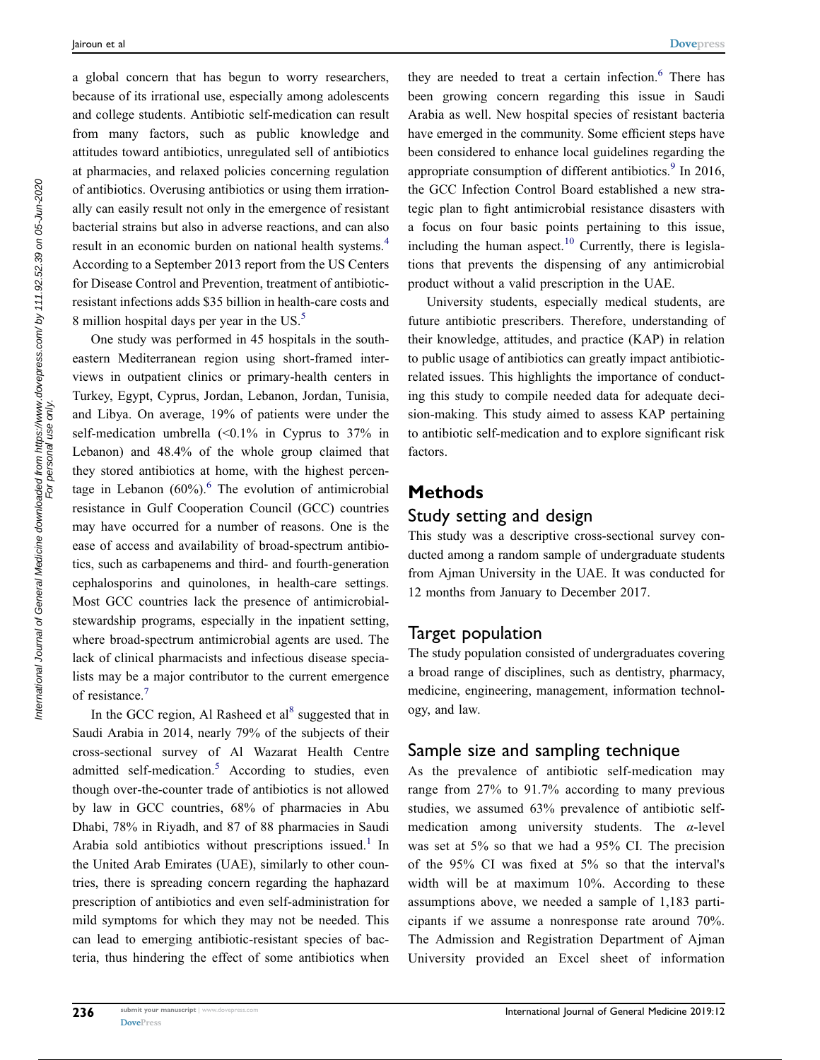a global concern that has begun to worry researchers, because of its irrational use, especially among adolescents and college students. Antibiotic self-medication can result from many factors, such as public knowledge and attitudes toward antibiotics, unregulated sell of antibiotics at pharmacies, and relaxed policies concerning regulation of antibiotics. Overusing antibiotics or using them irrationally can easily result not only in the emergence of resistant bacterial strains but also in adverse reactions, and can also result in an economic burden on national health systems.<sup>[4](#page-9-3)</sup> According to a September 2013 report from the US Centers for Disease Control and Prevention, treatment of antibioticresistant infections adds \$35 billion in health-care costs and 8 million hospital days per year in the US.<sup>[5](#page-9-4)</sup>

<span id="page-1-0"></span>One study was performed in 45 hospitals in the southeastern Mediterranean region using short-framed interviews in outpatient clinics or primary-health centers in Turkey, Egypt, Cyprus, Jordan, Lebanon, Jordan, Tunisia, and Libya. On average, 19% of patients were under the self-medication umbrella (<0.1% in Cyprus to 37% in Lebanon) and 48.4% of the whole group claimed that they stored antibiotics at home, with the highest percentage in Lebanon  $(60\%)$ <sup>6</sup>. The evolution of antimicrobial resistance in Gulf Cooperation Council (GCC) countries may have occurred for a number of reasons. One is the ease of access and availability of broad-spectrum antibiotics, such as carbapenems and third- and fourth-generation cephalosporins and quinolones, in health-care settings. Most GCC countries lack the presence of antimicrobialstewardship programs, especially in the inpatient setting, where broad-spectrum antimicrobial agents are used. The lack of clinical pharmacists and infectious disease specialists may be a major contributor to the current emergence of resistance.[7](#page-9-6)

<span id="page-1-4"></span><span id="page-1-3"></span><span id="page-1-1"></span>In the GCC region, Al Rasheed et  $al<sup>8</sup>$  $al<sup>8</sup>$  $al<sup>8</sup>$  suggested that in Saudi Arabia in 2014, nearly 79% of the subjects of their cross-sectional survey of Al Wazarat Health Centre admitted self-medication.<sup>[5](#page-9-4)</sup> According to studies, even though over-the-counter trade of antibiotics is not allowed by law in GCC countries, 68% of pharmacies in Abu Dhabi, 78% in Riyadh, and 87 of 88 pharmacies in Saudi Arabia sold antibiotics without prescriptions issued.<sup>[1](#page-9-0)</sup> In the United Arab Emirates (UAE), similarly to other countries, there is spreading concern regarding the haphazard prescription of antibiotics and even self-administration for mild symptoms for which they may not be needed. This can lead to emerging antibiotic-resistant species of bacteria, thus hindering the effect of some antibiotics when <span id="page-1-5"></span><span id="page-1-2"></span>they are needed to treat a certain infection.<sup>[6](#page-9-5)</sup> There has been growing concern regarding this issue in Saudi Arabia as well. New hospital species of resistant bacteria have emerged in the community. Some efficient steps have been considered to enhance local guidelines regarding the appropriate consumption of different antibiotics. $9 \ln 2016$  $9 \ln 2016$ , the GCC Infection Control Board established a new strategic plan to fight antimicrobial resistance disasters with a focus on four basic points pertaining to this issue, including the human aspect.<sup>[10](#page-9-9)</sup> Currently, there is legislations that prevents the dispensing of any antimicrobial product without a valid prescription in the UAE.

<span id="page-1-6"></span>University students, especially medical students, are future antibiotic prescribers. Therefore, understanding of their knowledge, attitudes, and practice (KAP) in relation to public usage of antibiotics can greatly impact antibioticrelated issues. This highlights the importance of conducting this study to compile needed data for adequate decision-making. This study aimed to assess KAP pertaining to antibiotic self-medication and to explore significant risk factors.

### Methods

### Study setting and design

This study was a descriptive cross-sectional survey conducted among a random sample of undergraduate students from Ajman University in the UAE. It was conducted for 12 months from January to December 2017.

## Target population

The study population consisted of undergraduates covering a broad range of disciplines, such as dentistry, pharmacy, medicine, engineering, management, information technology, and law.

### Sample size and sampling technique

As the prevalence of antibiotic self-medication may range from 27% to 91.7% according to many previous studies, we assumed 63% prevalence of antibiotic selfmedication among university students. The  $\alpha$ -level was set at 5% so that we had a 95% CI. The precision of the 95% CI was fixed at 5% so that the interval's width will be at maximum 10%. According to these assumptions above, we needed a sample of 1,183 participants if we assume a nonresponse rate around 70%. The Admission and Registration Department of Ajman University provided an Excel sheet of information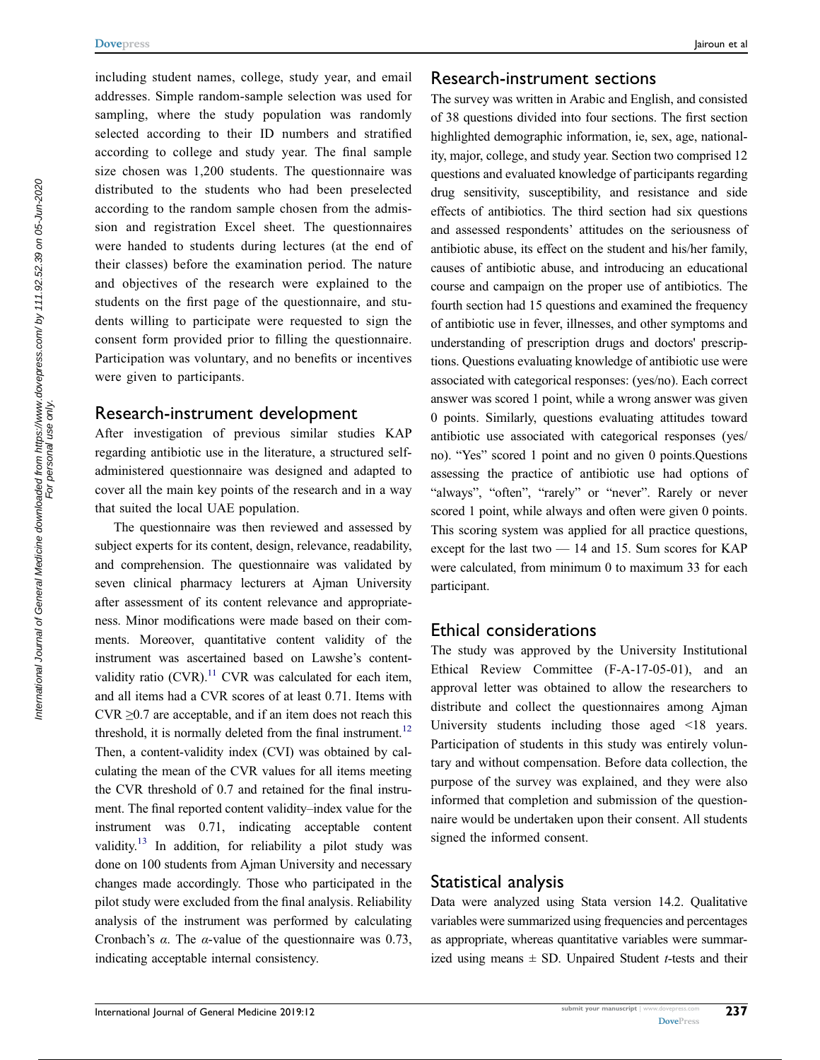including student names, college, study year, and email addresses. Simple random-sample selection was used for sampling, where the study population was randomly selected according to their ID numbers and stratified according to college and study year. The final sample size chosen was 1,200 students. The questionnaire was distributed to the students who had been preselected according to the random sample chosen from the admission and registration Excel sheet. The questionnaires were handed to students during lectures (at the end of their classes) before the examination period. The nature and objectives of the research were explained to the students on the first page of the questionnaire, and students willing to participate were requested to sign the consent form provided prior to filling the questionnaire. Participation was voluntary, and no benefits or incentives were given to participants.

### Research-instrument development

After investigation of previous similar studies KAP regarding antibiotic use in the literature, a structured selfadministered questionnaire was designed and adapted to cover all the main key points of the research and in a way that suited the local UAE population.

<span id="page-2-2"></span><span id="page-2-1"></span><span id="page-2-0"></span>The questionnaire was then reviewed and assessed by subject experts for its content, design, relevance, readability, and comprehension. The questionnaire was validated by seven clinical pharmacy lecturers at Ajman University after assessment of its content relevance and appropriateness. Minor modifications were made based on their comments. Moreover, quantitative content validity of the instrument was ascertained based on Lawshe's contentvalidity ratio  $(CVR)$ .<sup>11</sup> CVR was calculated for each item, and all items had a CVR scores of at least 0.71. Items with  $CVR \geq 0.7$  are acceptable, and if an item does not reach this threshold, it is normally deleted from the final instrument.<sup>12</sup> Then, a content-validity index (CVI) was obtained by calculating the mean of the CVR values for all items meeting the CVR threshold of 0.7 and retained for the final instrument. The final reported content validity–index value for the instrument was 0.71, indicating acceptable content validity.<sup>[13](#page-9-12)</sup> In addition, for reliability a pilot study was done on 100 students from Ajman University and necessary changes made accordingly. Those who participated in the pilot study were excluded from the final analysis. Reliability analysis of the instrument was performed by calculating Cronbach's  $\alpha$ . The  $\alpha$ -value of the questionnaire was 0.73, indicating acceptable internal consistency.

#### Research-instrument sections

The survey was written in Arabic and English, and consisted of 38 questions divided into four sections. The first section highlighted demographic information, ie, sex, age, nationality, major, college, and study year. Section two comprised 12 questions and evaluated knowledge of participants regarding drug sensitivity, susceptibility, and resistance and side effects of antibiotics. The third section had six questions and assessed respondents' attitudes on the seriousness of antibiotic abuse, its effect on the student and his/her family, causes of antibiotic abuse, and introducing an educational course and campaign on the proper use of antibiotics. The fourth section had 15 questions and examined the frequency of antibiotic use in fever, illnesses, and other symptoms and understanding of prescription drugs and doctors' prescriptions. Questions evaluating knowledge of antibiotic use were associated with categorical responses: (yes/no). Each correct answer was scored 1 point, while a wrong answer was given 0 points. Similarly, questions evaluating attitudes toward antibiotic use associated with categorical responses (yes/ no). "Yes" scored 1 point and no given 0 points.Questions assessing the practice of antibiotic use had options of "always", "often", "rarely" or "never". Rarely or never scored 1 point, while always and often were given 0 points. This scoring system was applied for all practice questions, except for the last two — 14 and 15. Sum scores for KAP were calculated, from minimum 0 to maximum 33 for each participant.

### Ethical considerations

The study was approved by the University Institutional Ethical Review Committee (F-A-17-05-01), and an approval letter was obtained to allow the researchers to distribute and collect the questionnaires among Ajman University students including those aged <18 years. Participation of students in this study was entirely voluntary and without compensation. Before data collection, the purpose of the survey was explained, and they were also informed that completion and submission of the questionnaire would be undertaken upon their consent. All students signed the informed consent.

### Statistical analysis

Data were analyzed using Stata version 14.2. Qualitative variables were summarized using frequencies and percentages as appropriate, whereas quantitative variables were summarized using means  $\pm$  SD. Unpaired Student *t*-tests and their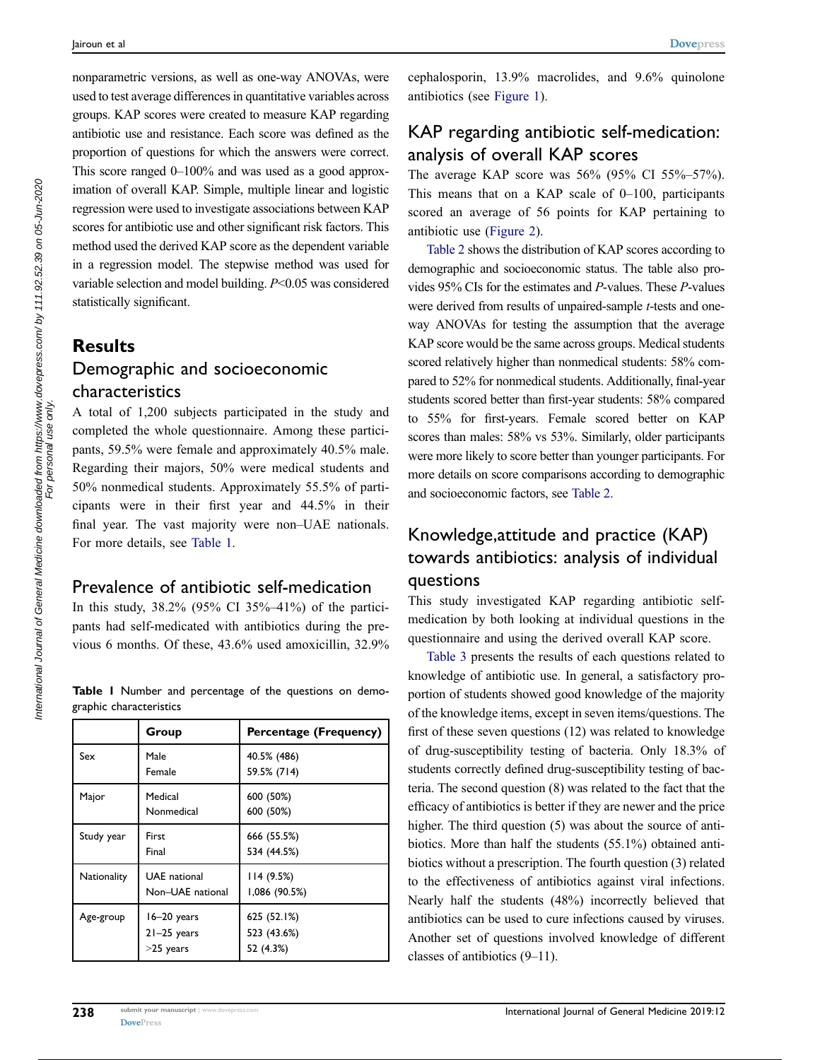nonparametric versions, as well as one-way ANOVAs, were used to test average differences in quantitative variables across groups. KAP scores were created to measure KAP regarding antibiotic use and resistance. Each score was defined as the proportion of questions for which the answers were correct. This score ranged 0–100% and was used as a good approximation of overall KAP. Simple, multiple linear and logistic regression were used to investigate associations between KAP scores for antibiotic use and other significant risk factors. This method used the derived KAP score as the dependent variable in a regression model. The stepwise method was used for variable selection and model building. P<0.05 was considered statistically significant.

# Results Demographic and socioeconomic characteristics

A total of 1,200 subjects participated in the study and completed the whole questionnaire. Among these participants, 59.5% were female and approximately 40.5% male. Regarding their majors, 50% were medical students and 50% nonmedical students. Approximately 55.5% of participants were in their first year and 44.5% in their final year. The vast majority were non–UAE nationals. For more details, see [Table 1](#page-3-0).

### Prevalence of antibiotic self-medication

In this study,  $38.2\%$  (95% CI 35%–41%) of the participants had self-medicated with antibiotics during the previous 6 months. Of these, 43.6% used amoxicillin, 32.9%

<span id="page-3-0"></span>Table I Number and percentage of the questions on demographic characteristics

|             | Group                                        | <b>Percentage (Frequency)</b>           |
|-------------|----------------------------------------------|-----------------------------------------|
| Sex         | Male<br>Female                               | 40.5% (486)<br>59.5% (714)              |
| Major       | Medical<br>Nonmedical                        | 600 (50%)<br>600 (50%)                  |
| Study year  | First<br>Final                               | 666 (55.5%)<br>534 (44.5%)              |
| Nationality | <b>UAE</b> national<br>Non-UAE national      | 114(9.5%)<br>1,086 (90.5%)              |
| Age-group   | 16-20 years<br>$21-25$ years<br>$>$ 25 years | 625 (52.1%)<br>523 (43.6%)<br>52 (4.3%) |

cephalosporin, 13.9% macrolides, and 9.6% quinolone antibiotics (see [Figure 1](#page-4-0)).

# KAP regarding antibiotic self-medication: analysis of overall KAP scores

The average KAP score was 56% (95% CI 55%–57%). This means that on a KAP scale of 0–100, participants scored an average of 56 points for KAP pertaining to antibiotic use ([Figure 2](#page-4-1)).

[Table 2](#page-5-0) shows the distribution of KAP scores according to demographic and socioeconomic status. The table also provides 95% CIs for the estimates and P-values. These P-values were derived from results of unpaired-sample t-tests and oneway ANOVAs for testing the assumption that the average KAP score would be the same across groups. Medical students scored relatively higher than nonmedical students: 58% compared to 52% for nonmedical students. Additionally, final-year students scored better than first-year students: 58% compared to 55% for first-years. Female scored better on KAP scores than males: 58% vs 53%. Similarly, older participants were more likely to score better than younger participants. For more details on score comparisons according to demographic and socioeconomic factors, see [Table 2.](#page-5-0)

# Knowledge,attitude and practice (KAP) towards antibiotics: analysis of individual questions

This study investigated KAP regarding antibiotic selfmedication by both looking at individual questions in the questionnaire and using the derived overall KAP score.

[Table 3](#page-5-1) presents the results of each questions related to knowledge of antibiotic use. In general, a satisfactory proportion of students showed good knowledge of the majority of the knowledge items, except in seven items/questions. The first of these seven questions (12) was related to knowledge of drug-susceptibility testing of bacteria. Only 18.3% of students correctly defined drug-susceptibility testing of bacteria. The second question (8) was related to the fact that the efficacy of antibiotics is better if they are newer and the price higher. The third question (5) was about the source of antibiotics. More than half the students (55.1%) obtained antibiotics without a prescription. The fourth question (3) related to the effectiveness of antibiotics against viral infections. Nearly half the students (48%) incorrectly believed that antibiotics can be used to cure infections caused by viruses. Another set of questions involved knowledge of different classes of antibiotics (9–11).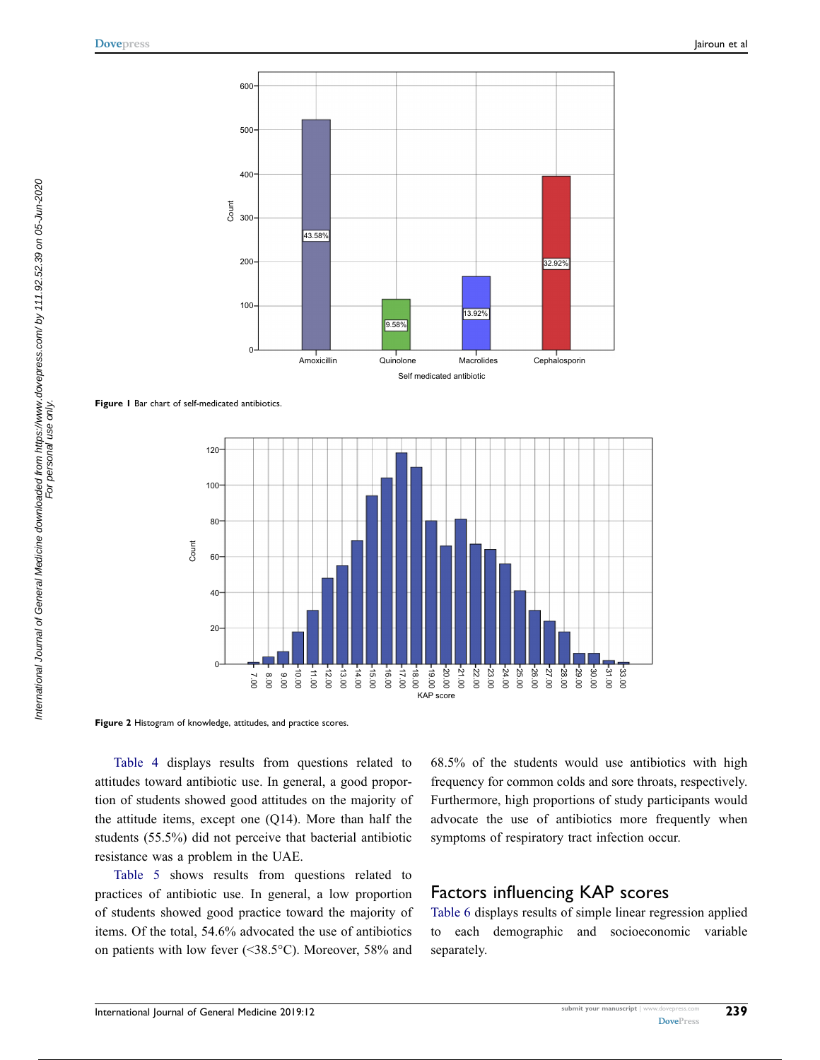<span id="page-4-0"></span>

<span id="page-4-1"></span>Figure 1 Bar chart of self-medicated antibiotics.



Figure 2 Histogram of knowledge, attitudes, and practice scores.

[Table 4](#page-5-2) displays results from questions related to attitudes toward antibiotic use. In general, a good proportion of students showed good attitudes on the majority of the attitude items, except one (Q14). More than half the students (55.5%) did not perceive that bacterial antibiotic resistance was a problem in the UAE.

[Table 5](#page-6-0) shows results from questions related to practices of antibiotic use. In general, a low proportion of students showed good practice toward the majority of items. Of the total, 54.6% advocated the use of antibiotics on patients with low fever (<38.5°C). Moreover, 58% and

68.5% of the students would use antibiotics with high frequency for common colds and sore throats, respectively. Furthermore, high proportions of study participants would advocate the use of antibiotics more frequently when symptoms of respiratory tract infection occur.

# Factors influencing KAP scores

[Table 6](#page-6-1) displays results of simple linear regression applied to each demographic and socioeconomic variable separately.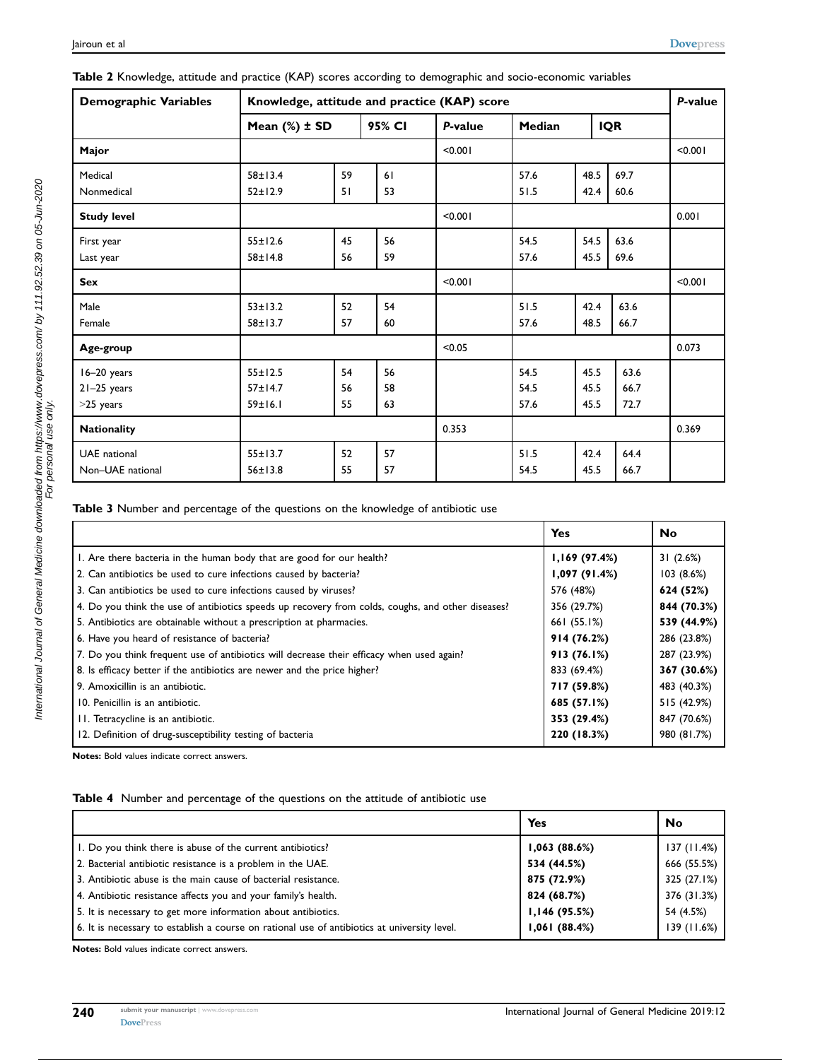<span id="page-5-0"></span>

| <b>Demographic Variables</b> | Knowledge, attitude and practice (KAP) score |    |        |         |        | P-value |            |         |
|------------------------------|----------------------------------------------|----|--------|---------|--------|---------|------------|---------|
|                              | Mean $(*)$ $\pm$ SD                          |    | 95% CI | P-value | Median |         | <b>IQR</b> |         |
| Major                        |                                              |    |        | < 0.001 |        |         |            | < 0.001 |
| Medical                      | $58 \pm 13.4$                                | 59 | 61     |         | 57.6   | 48.5    | 69.7       |         |
| Nonmedical                   | $52 \pm 12.9$                                | 51 | 53     |         | 51.5   | 42.4    | 60.6       |         |
| <b>Study level</b>           |                                              |    |        | < 0.001 |        |         |            | 0.001   |
| First year                   | $55 \pm 12.6$                                | 45 | 56     |         | 54.5   | 54.5    | 63.6       |         |
| Last year                    | $58 \pm 14.8$                                | 56 | 59     |         | 57.6   | 45.5    | 69.6       |         |
| Sex                          |                                              |    |        | < 0.001 |        |         |            | < 0.001 |
| Male                         | $53 \pm 13.2$                                | 52 | 54     |         | 51.5   | 42.4    | 63.6       |         |
| Female                       | $58 \pm 13.7$                                | 57 | 60     |         | 57.6   | 48.5    | 66.7       |         |
| Age-group                    |                                              |    |        | < 0.05  |        |         |            | 0.073   |
| $16-20$ years                | $55 \pm 12.5$                                | 54 | 56     |         | 54.5   | 45.5    | 63.6       |         |
| $21-25$ years                | $57 + 14.7$                                  | 56 | 58     |         | 54.5   | 45.5    | 66.7       |         |
| >25 years                    | 59±16.1                                      | 55 | 63     |         | 57.6   | 45.5    | 72.7       |         |
| <b>Nationality</b>           |                                              |    |        | 0.353   |        |         |            | 0.369   |
| <b>UAE</b> national          | $55 \pm 13.7$                                | 52 | 57     |         | 51.5   | 42.4    | 64.4       |         |
| Non-UAE national             | $56 \pm 13.8$                                | 55 | 57     |         | 54.5   | 45.5    | 66.7       |         |

<span id="page-5-1"></span>Table 3 Number and percentage of the questions on the knowledge of antibiotic use

|                                                                                                   | <b>Yes</b>   | No          |
|---------------------------------------------------------------------------------------------------|--------------|-------------|
| I. Are there bacteria in the human body that are good for our health?                             | 1,169(97.4%) | 31(2.6%)    |
| 2. Can antibiotics be used to cure infections caused by bacteria?                                 | 1,097(91.4%) | 103(8.6%)   |
| 3. Can antibiotics be used to cure infections caused by viruses?                                  | 576 (48%)    | 624 (52%)   |
| 4. Do you think the use of antibiotics speeds up recovery from colds, coughs, and other diseases? | 356 (29.7%)  | 844 (70.3%) |
| 5. Antibiotics are obtainable without a prescription at pharmacies.                               | 661 (55.1%)  | 539 (44.9%) |
| 6. Have you heard of resistance of bacteria?                                                      | 914(76.2%)   | 286 (23.8%) |
| 7. Do you think frequent use of antibiotics will decrease their efficacy when used again?         | 913 (76.1%)  | 287 (23.9%) |
| 8. Is efficacy better if the antibiotics are newer and the price higher?                          | 833 (69.4%)  | 367 (30.6%) |
| 9. Amoxicillin is an antibiotic.                                                                  | 717 (59.8%)  | 483 (40.3%) |
| 10. Penicillin is an antibiotic.                                                                  | 685 (57.1%)  | 515 (42.9%) |
| 11. Tetracycline is an antibiotic.                                                                | 353 (29.4%)  | 847 (70.6%) |
| 12. Definition of drug-susceptibility testing of bacteria                                         | 220 (18.3%)  | 980 (81.7%) |

Notes: Bold values indicate correct answers.

#### <span id="page-5-2"></span>Table 4 Number and percentage of the questions on the attitude of antibiotic use

|                                                                                              | Yes          | No          |
|----------------------------------------------------------------------------------------------|--------------|-------------|
| 1. Do you think there is abuse of the current antibiotics?                                   | 1,063(88.6%) | 137(11.4%)  |
| 2. Bacterial antibiotic resistance is a problem in the UAE.                                  | 534 (44.5%)  | 666 (55.5%) |
| 13. Antibiotic abuse is the main cause of bacterial resistance.                              | 875 (72.9%)  | 325(27.1%)  |
| 4. Antibiotic resistance affects you and your family's health.                               | 824 (68.7%)  | 376(31.3%)  |
| 5. It is necessary to get more information about antibiotics.                                | 1,146(95.5%) | 54 (4.5%)   |
| 6. It is necessary to establish a course on rational use of antibiotics at university level. | 1,061(88.4%) | 139 (11.6%) |

Notes: Bold values indicate correct answers.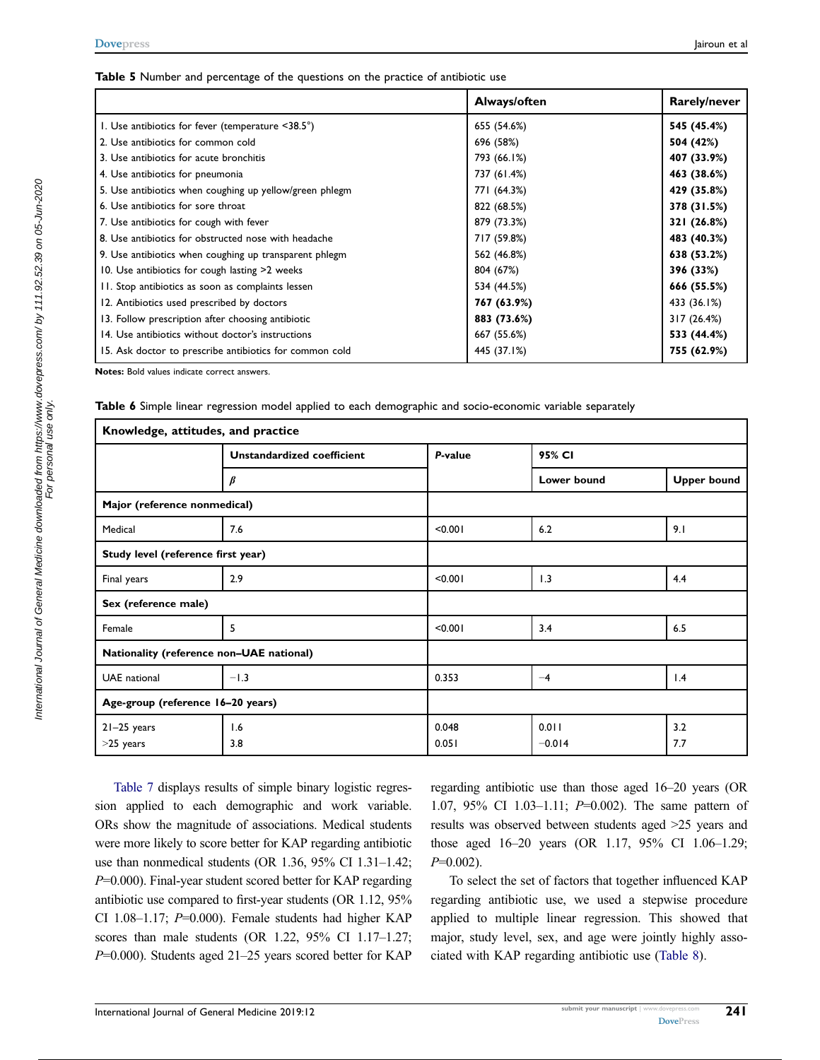#### <span id="page-6-0"></span>Table 5 Number and percentage of the questions on the practice of antibiotic use

|                                                                 | Always/often | <b>Rarely/never</b> |
|-----------------------------------------------------------------|--------------|---------------------|
| 1. Use antibiotics for fever (temperature $\leq 38.5^{\circ}$ ) | 655 (54.6%)  | 545 (45.4%)         |
| 2. Use antibiotics for common cold                              | 696 (58%)    | 504 (42%)           |
| 3. Use antibiotics for acute bronchitis                         | 793 (66.1%)  | 407 (33.9%)         |
| 4. Use antibiotics for pneumonia                                | 737 (61.4%)  | 463 (38.6%)         |
| 5. Use antibiotics when coughing up yellow/green phlegm         | 771 (64.3%)  | 429 (35.8%)         |
| 6. Use antibiotics for sore throat                              | 822 (68.5%)  | 378 (31.5%)         |
| 7. Use antibiotics for cough with fever                         | 879 (73.3%)  | 321 (26.8%)         |
| 8. Use antibiotics for obstructed nose with headache            | 717 (59.8%)  | 483 (40.3%)         |
| 9. Use antibiotics when coughing up transparent phlegm          | 562 (46.8%)  | 638 (53.2%)         |
| 10. Use antibiotics for cough lasting >2 weeks                  | 804 (67%)    | 396 (33%)           |
| 11. Stop antibiotics as soon as complaints lessen               | 534 (44.5%)  | 666 (55.5%)         |
| 12. Antibiotics used prescribed by doctors                      | 767 (63.9%)  | 433 (36.1%)         |
| 13. Follow prescription after choosing antibiotic               | 883 (73.6%)  | 317 (26.4%)         |
| 14. Use antibiotics without doctor's instructions               | 667 (55.6%)  | 533 (44.4%)         |
| 15. Ask doctor to prescribe antibiotics for common cold         | 445 (37.1%)  | 755 (62.9%)         |

Notes: Bold values indicate correct answers.

<span id="page-6-1"></span>Table 6 Simple linear regression model applied to each demographic and socio-economic variable separately

| Knowledge, attitudes, and practice       |                            |                |                    |                    |  |
|------------------------------------------|----------------------------|----------------|--------------------|--------------------|--|
|                                          | Unstandardized coefficient | P-value        | 95% CI             |                    |  |
|                                          | β                          |                | <b>Lower bound</b> | <b>Upper bound</b> |  |
| Major (reference nonmedical)             |                            |                |                    |                    |  |
| Medical                                  | 7.6                        | < 0.001        | 6.2                | 9.1                |  |
| Study level (reference first year)       |                            |                |                    |                    |  |
| Final years                              | 2.9                        | < 0.001        | 1.3                | 4.4                |  |
| Sex (reference male)                     |                            |                |                    |                    |  |
| Female                                   | 5                          | < 0.001        | 3.4                | 6.5                |  |
| Nationality (reference non-UAE national) |                            |                |                    |                    |  |
| <b>UAE</b> national                      | $-1.3$                     | 0.353          | $-4$               | 1.4                |  |
| Age-group (reference 16-20 years)        |                            |                |                    |                    |  |
| $21-25$ years<br>$>25$ years             | 1.6<br>3.8                 | 0.048<br>0.051 | 0.011<br>$-0.014$  | 3.2<br>7.7         |  |

[Table 7](#page-7-0) displays results of simple binary logistic regression applied to each demographic and work variable. ORs show the magnitude of associations. Medical students were more likely to score better for KAP regarding antibiotic use than nonmedical students (OR 1.36, 95% CI 1.31–1.42;  $P=0.000$ ). Final-year student scored better for KAP regarding antibiotic use compared to first-year students (OR 1.12, 95% CI 1.08–1.17; P=0.000). Female students had higher KAP scores than male students (OR 1.22, 95% CI 1.17-1.27; P=0.000). Students aged 21–25 years scored better for KAP

regarding antibiotic use than those aged 16–20 years (OR 1.07, 95% CI 1.03–1.11; P=0.002). The same pattern of results was observed between students aged ˃25 years and those aged 16–20 years (OR 1.17, 95% CI 1.06–1.29;  $P=0.002$ ).

To select the set of factors that together influenced KAP regarding antibiotic use, we used a stepwise procedure applied to multiple linear regression. This showed that major, study level, sex, and age were jointly highly associated with KAP regarding antibiotic use [\(Table 8](#page-7-1)).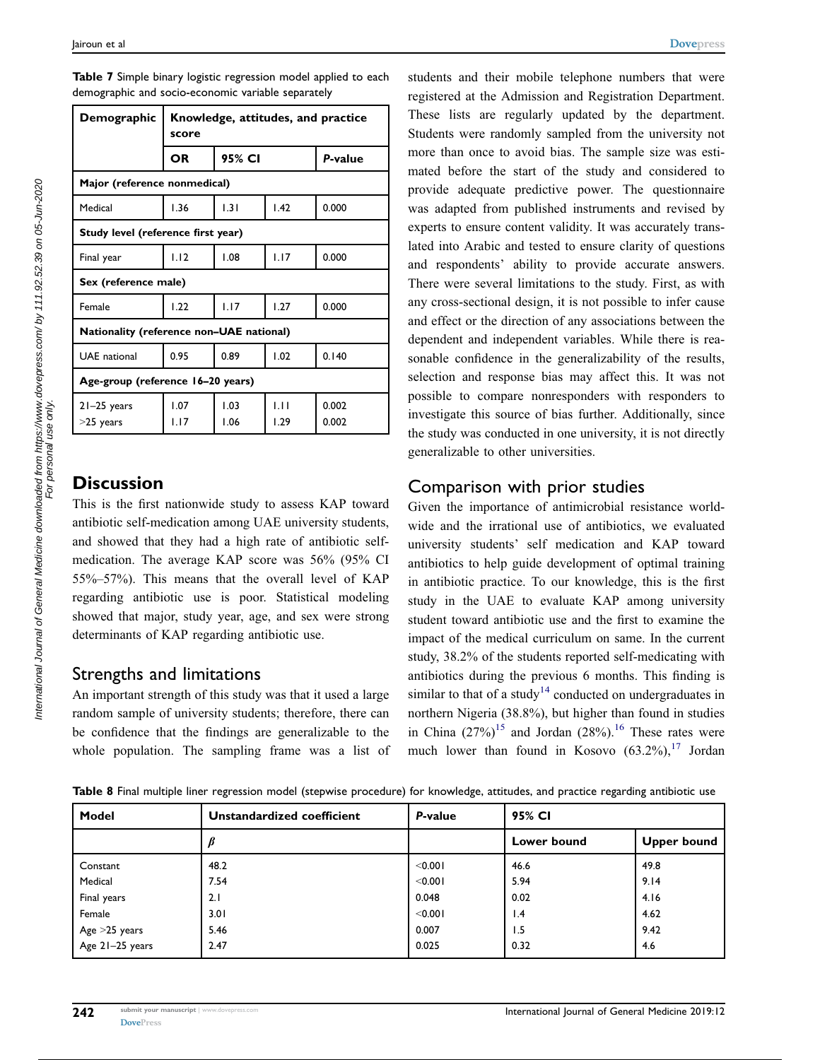| Demographic                              | Knowledge, attitudes, and practice<br>score |             |                |                |  |  |
|------------------------------------------|---------------------------------------------|-------------|----------------|----------------|--|--|
|                                          | OR.                                         | 95% CI      |                | P-value        |  |  |
|                                          | Major (reference nonmedical)                |             |                |                |  |  |
| Medical                                  | 1.36                                        | 1.31        | 1.42           | 0.000          |  |  |
|                                          | Study level (reference first year)          |             |                |                |  |  |
| Final year                               | 1.12                                        | 1.08        | 1.17           | 0.000          |  |  |
| Sex (reference male)                     |                                             |             |                |                |  |  |
| Female                                   | 1.22                                        | 1.17        | 1.27           | 0.000          |  |  |
| Nationality (reference non-UAE national) |                                             |             |                |                |  |  |
| <b>UAE</b> national                      | 0.95                                        | 0.89        | 1.02           | 0.140          |  |  |
| Age-group (reference 16-20 years)        |                                             |             |                |                |  |  |
| $21-25$ years<br>$>25$ years             | 1.07<br>1.17                                | 1.03<br>L06 | $\Box$<br>1.29 | 0.002<br>0.002 |  |  |

<span id="page-7-0"></span>Table 7 Simple binary logistic regression model applied to each demographic and socio-economic variable separately

## Discussion

This is the first nationwide study to assess KAP toward antibiotic self-medication among UAE university students, and showed that they had a high rate of antibiotic selfmedication. The average KAP score was 56% (95% CI 55%–57%). This means that the overall level of KAP regarding antibiotic use is poor. Statistical modeling showed that major, study year, age, and sex were strong determinants of KAP regarding antibiotic use.

### Strengths and limitations

An important strength of this study was that it used a large random sample of university students; therefore, there can be confidence that the findings are generalizable to the whole population. The sampling frame was a list of students and their mobile telephone numbers that were registered at the Admission and Registration Department. These lists are regularly updated by the department. Students were randomly sampled from the university not more than once to avoid bias. The sample size was estimated before the start of the study and considered to provide adequate predictive power. The questionnaire was adapted from published instruments and revised by experts to ensure content validity. It was accurately translated into Arabic and tested to ensure clarity of questions and respondents' ability to provide accurate answers. There were several limitations to the study. First, as with any cross-sectional design, it is not possible to infer cause and effect or the direction of any associations between the dependent and independent variables. While there is reasonable confidence in the generalizability of the results, selection and response bias may affect this. It was not possible to compare nonresponders with responders to investigate this source of bias further. Additionally, since the study was conducted in one university, it is not directly generalizable to other universities.

## Comparison with prior studies

<span id="page-7-4"></span><span id="page-7-3"></span><span id="page-7-2"></span>Given the importance of antimicrobial resistance worldwide and the irrational use of antibiotics, we evaluated university students' self medication and KAP toward antibiotics to help guide development of optimal training in antibiotic practice. To our knowledge, this is the first study in the UAE to evaluate KAP among university student toward antibiotic use and the first to examine the impact of the medical curriculum on same. In the current study, 38.2% of the students reported self-medicating with antibiotics during the previous 6 months. This finding is similar to that of a study<sup>[14](#page-9-13)</sup> conducted on undergraduates in northern Nigeria (38.8%), but higher than found in studies in China  $(27\%)$ <sup>[15](#page-9-14)</sup> and Jordan  $(28\%)$ .<sup>[16](#page-9-15)</sup> These rates were much lower than found in Kosovo  $(63.2\%)$ ,<sup>[17](#page-10-0)</sup> Jordan

| Model           | Unstandardized coefficient | P-value | 95% CI      |                    |  |
|-----------------|----------------------------|---------|-------------|--------------------|--|
|                 |                            |         | Lower bound | <b>Upper bound</b> |  |
| Constant        | 48.2                       | < 0.001 | 46.6        | 49.8               |  |
| Medical         | 7.54                       | < 0.001 | 5.94        | 9.14               |  |
| Final years     | 2.1                        | 0.048   | 0.02        | 4.16               |  |
| Female          | 3.01                       | < 0.001 | 1.4         | 4.62               |  |
| Age >25 years   | 5.46                       | 0.007   | 1.5         | 9.42               |  |
| Age 21-25 years | 2.47                       | 0.025   | 0.32        | 4.6                |  |

<span id="page-7-1"></span>Table 8 Final multiple liner regression model (stepwise procedure) for knowledge, attitudes, and practice regarding antibiotic use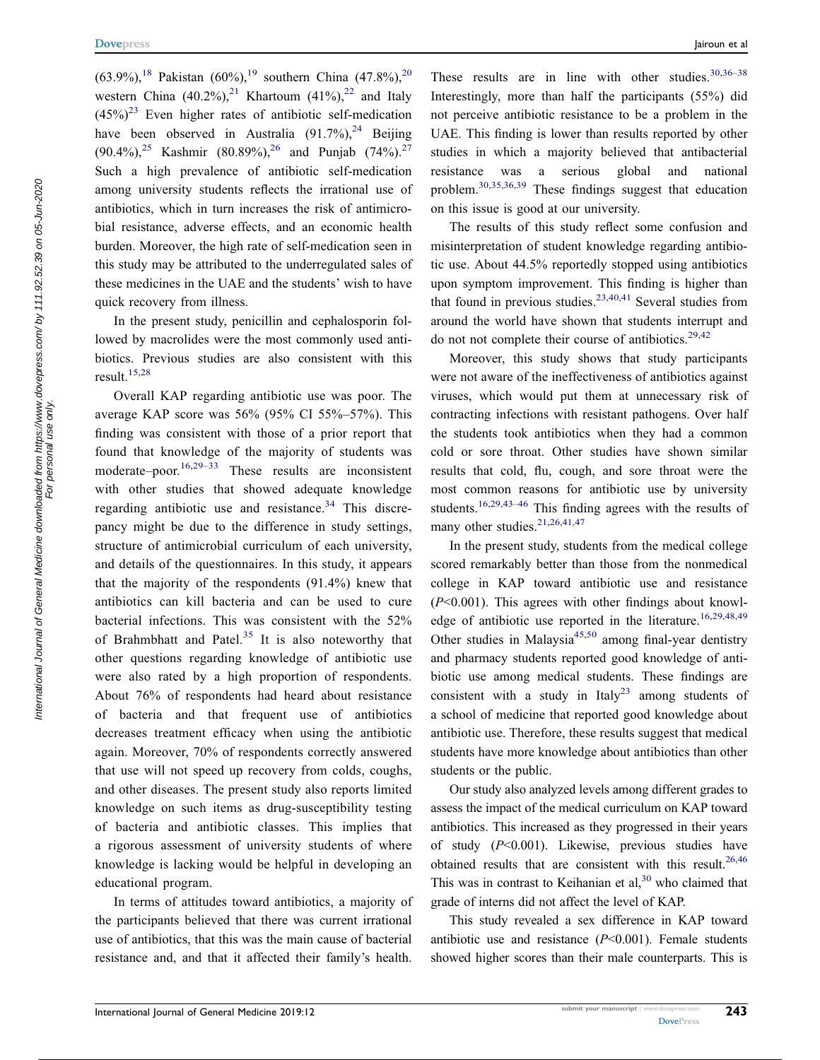<span id="page-8-5"></span><span id="page-8-4"></span><span id="page-8-2"></span><span id="page-8-0"></span> $(63.9\%)$ ,<sup>[18](#page-10-1)</sup> Pakistan  $(60\%)$ ,<sup>[19](#page-10-2)</sup> southern China  $(47.8\%)$ ,<sup>20</sup> western China  $(40.2\%)$ ,<sup>21</sup> Khartoum  $(41\%)$ ,<sup>22</sup> and Italy  $(45\%)^{23}$  $(45\%)^{23}$  $(45\%)^{23}$  Even higher rates of antibiotic self-medication have been observed in Australia  $(91.7\%)$ ,<sup>24</sup> Beijing  $(90.4\%)$ ,<sup>[25](#page-10-8)</sup> Kashmir  $(80.89\%)$ ,<sup>[26](#page-10-9)</sup> and Punjab  $(74\%)$ .<sup>[27](#page-10-10)</sup> Such a high prevalence of antibiotic self-medication among university students reflects the irrational use of antibiotics, which in turn increases the risk of antimicrobial resistance, adverse effects, and an economic health burden. Moreover, the high rate of self-medication seen in this study may be attributed to the underregulated sales of these medicines in the UAE and the students' wish to have quick recovery from illness.

In the present study, penicillin and cephalosporin followed by macrolides were the most commonly used antibiotics. Previous studies are also consistent with this result.[15](#page-9-14)[,28](#page-10-11)

<span id="page-8-11"></span><span id="page-8-10"></span><span id="page-8-7"></span>Overall KAP regarding antibiotic use was poor. The average KAP score was 56% (95% CI 55%–57%). This finding was consistent with those of a prior report that found that knowledge of the majority of students was moderate–poor.<sup>[16](#page-9-15)[,29](#page-10-12)–[33](#page-10-13)</sup> These results are inconsistent with other studies that showed adequate knowledge regarding antibiotic use and resistance.<sup>[34](#page-10-14)</sup> This discrepancy might be due to the difference in study settings, structure of antimicrobial curriculum of each university, and details of the questionnaires. In this study, it appears that the majority of the respondents (91.4%) knew that antibiotics can kill bacteria and can be used to cure bacterial infections. This was consistent with the 52% of Brahmbhatt and Patel. $35$  It is also noteworthy that other questions regarding knowledge of antibiotic use were also rated by a high proportion of respondents. About 76% of respondents had heard about resistance of bacteria and that frequent use of antibiotics decreases treatment efficacy when using the antibiotic again. Moreover, 70% of respondents correctly answered that use will not speed up recovery from colds, coughs, and other diseases. The present study also reports limited knowledge on such items as drug-susceptibility testing of bacteria and antibiotic classes. This implies that a rigorous assessment of university students of where knowledge is lacking would be helpful in developing an educational program.

In terms of attitudes toward antibiotics, a majority of the participants believed that there was current irrational use of antibiotics, that this was the main cause of bacterial resistance and, and that it affected their family's health.

<span id="page-8-13"></span>These results are in line with other studies.<sup>[30,](#page-10-16)[36](#page-10-17)-[38](#page-10-18)</sup> Interestingly, more than half the participants (55%) did not perceive antibiotic resistance to be a problem in the UAE. This finding is lower than results reported by other studies in which a majority believed that antibacterial resistance was a serious global and national problem.[30](#page-10-16),[35](#page-10-15)[,36,](#page-10-17)[39](#page-10-19) These findings suggest that education on this issue is good at our university.

<span id="page-8-12"></span>The results of this study reflect some confusion and misinterpretation of student knowledge regarding antibiotic use. About 44.5% reportedly stopped using antibiotics upon symptom improvement. This finding is higher than that found in previous studies.<sup>[23,](#page-10-6)[40](#page-10-20)[,41](#page-10-21)</sup> Several studies from around the world have shown that students interrupt and do not not complete their course of antibiotics.<sup>[29](#page-10-12)[,42](#page-10-22)</sup>

<span id="page-8-15"></span><span id="page-8-14"></span>Moreover, this study shows that study participants were not aware of the ineffectiveness of antibiotics against viruses, which would put them at unnecessary risk of contracting infections with resistant pathogens. Over half the students took antibiotics when they had a common cold or sore throat. Other studies have shown similar results that cold, flu, cough, and sore throat were the most common reasons for antibiotic use by university students.[16](#page-9-15)[,29,](#page-10-12)[43](#page-10-23)–[46](#page-10-24) This finding agrees with the results of many other studies.<sup>[21,](#page-10-4)[26](#page-10-9)[,41](#page-10-21)[,47](#page-10-25)</sup>

<span id="page-8-17"></span><span id="page-8-16"></span><span id="page-8-8"></span><span id="page-8-1"></span>In the present study, students from the medical college scored remarkably better than those from the nonmedical college in KAP toward antibiotic use and resistance  $(P<0.001)$ . This agrees with other findings about knowl-edge of antibiotic use reported in the literature.<sup>[16](#page-9-15)[,29,](#page-10-12)[48](#page-10-26),[49](#page-10-27)</sup> Other studies in Malaysia<sup>[45](#page-10-28)[,50](#page-10-29)</sup> among final-year dentistry and pharmacy students reported good knowledge of antibiotic use among medical students. These findings are consistent with a study in Italy<sup>[23](#page-10-6)</sup> among students of a school of medicine that reported good knowledge about antibiotic use. Therefore, these results suggest that medical students have more knowledge about antibiotics than other students or the public.

<span id="page-8-3"></span>Our study also analyzed levels among different grades to assess the impact of the medical curriculum on KAP toward antibiotics. This increased as they progressed in their years of study (P<0.001). Likewise, previous studies have obtained results that are consistent with this result.<sup>26[,46](#page-10-24)</sup> This was in contrast to Keihanian et  $al$ ,  $30$  who claimed that grade of interns did not affect the level of KAP.

<span id="page-8-9"></span><span id="page-8-6"></span>This study revealed a sex difference in KAP toward antibiotic use and resistance  $(P<0.001)$ . Female students showed higher scores than their male counterparts. This is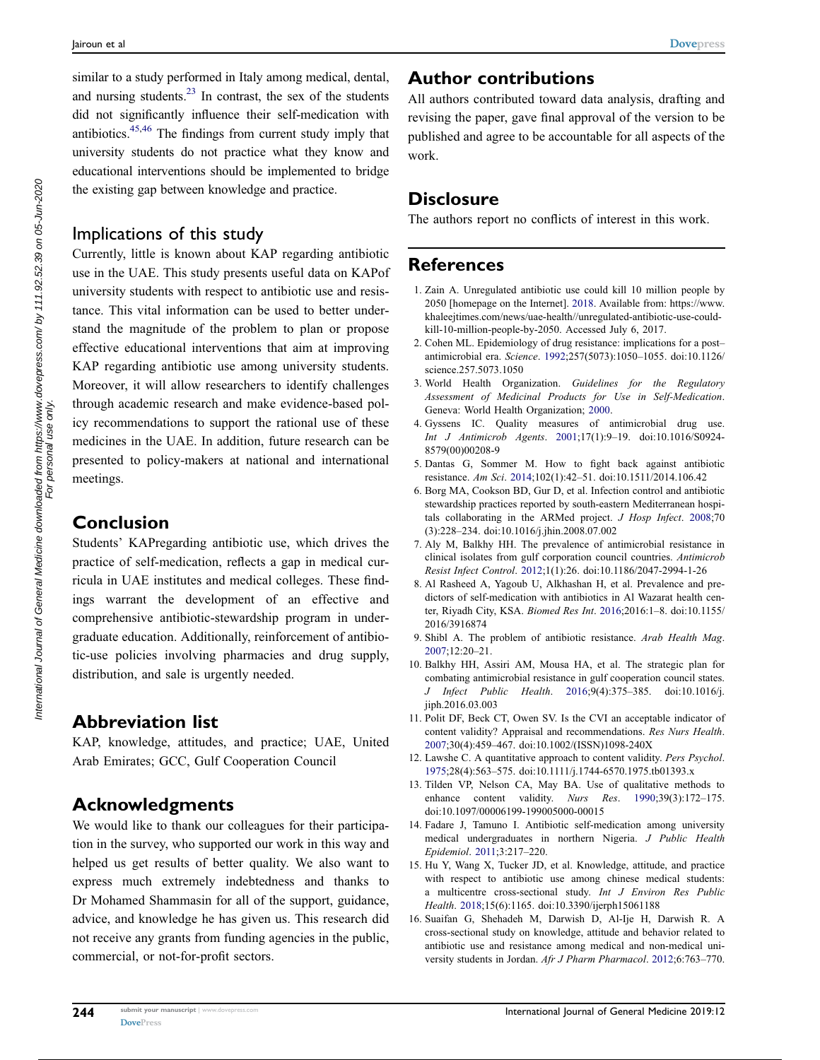similar to a study performed in Italy among medical, dental, and nursing students. $^{23}$  In contrast, the sex of the students did not significantly influence their self-medication with antibiotics[.45](#page-10-28)[,46](#page-10-24) The findings from current study imply that university students do not practice what they know and educational interventions should be implemented to bridge the existing gap between knowledge and practice.

### Implications of this study

Currently, little is known about KAP regarding antibiotic use in the UAE. This study presents useful data on KAPof university students with respect to antibiotic use and resistance. This vital information can be used to better understand the magnitude of the problem to plan or propose effective educational interventions that aim at improving KAP regarding antibiotic use among university students. Moreover, it will allow researchers to identify challenges through academic research and make evidence-based policy recommendations to support the rational use of these medicines in the UAE. In addition, future research can be presented to policy-makers at national and international meetings.

### Conclusion

Students' KAPregarding antibiotic use, which drives the practice of self-medication, reflects a gap in medical curricula in UAE institutes and medical colleges. These findings warrant the development of an effective and comprehensive antibiotic-stewardship program in undergraduate education. Additionally, reinforcement of antibiotic-use policies involving pharmacies and drug supply, distribution, and sale is urgently needed.

### Abbreviation list

KAP, knowledge, attitudes, and practice; UAE, United Arab Emirates; GCC, Gulf Cooperation Council

### Acknowledgments

We would like to thank our colleagues for their participation in the survey, who supported our work in this way and helped us get results of better quality. We also want to express much extremely indebtedness and thanks to Dr Mohamed Shammasin for all of the support, guidance, advice, and knowledge he has given us. This research did not receive any grants from funding agencies in the public, commercial, or not-for-profit sectors.

### Author contributions

All authors contributed toward data analysis, drafting and revising the paper, gave final approval of the version to be published and agree to be accountable for all aspects of the work.

### **Disclosure**

The authors report no conflicts of interest in this work.

### **References**

- <span id="page-9-0"></span>1. Zain A. Unregulated antibiotic use could kill 10 million people by 2050 [homepage on the Internet]. [2018](#page-0-3). Available from: [https://www.](https://www.khaleejtimes.com/news/uae-health//unregulated-antibiotic-use-could-kill-10-million-people-by-2050) [khaleejtimes.com/news/uae-health//unregulated-antibiotic-use-could](https://www.khaleejtimes.com/news/uae-health//unregulated-antibiotic-use-could-kill-10-million-people-by-2050)[kill-10-million-people-by-2050.](https://www.khaleejtimes.com/news/uae-health//unregulated-antibiotic-use-could-kill-10-million-people-by-2050) Accessed July 6, 2017.
- <span id="page-9-1"></span>2. Cohen ML. Epidemiology of drug resistance: implications for a post– antimicrobial era. Science. [1992](#page-0-4);257(5073):1050–1055. doi:[10.1126/](https://doi.org/10.1126/science.257.5073.1050) [science.257.5073.1050](https://doi.org/10.1126/science.257.5073.1050)
- <span id="page-9-2"></span>3. World Health Organization. Guidelines for the Regulatory Assessment of Medicinal Products for Use in Self-Medication. Geneva: World Health Organization; [2000.](#page-0-5)
- <span id="page-9-3"></span>4. Gyssens IC. Quality measures of antimicrobial drug use. Int J Antimicrob Agents. [2001](#page-1-0);17(1):9–19. doi:[10.1016/S0924-](https://doi.org/10.1016/S0924-8579(00)00208-9) [8579\(00\)00208-9](https://doi.org/10.1016/S0924-8579(00)00208-9)
- <span id="page-9-4"></span>5. Dantas G, Sommer M. How to fight back against antibiotic resistance. Am Sci. [2014](#page-1-1);102(1):42–51. doi:[10.1511/2014.106.42](https://doi.org/10.1511/2014.106.42)
- <span id="page-9-5"></span>6. Borg MA, Cookson BD, Gur D, et al. Infection control and antibiotic stewardship practices reported by south-eastern Mediterranean hospi-tals collaborating in the ARMed project. J Hosp Infect. [2008](#page-1-2);70 (3):228–234. doi:[10.1016/j.jhin.2008.07.002](https://doi.org/10.1016/j.jhin.2008.07.002)
- <span id="page-9-6"></span>7. Aly M, Balkhy HH. The prevalence of antimicrobial resistance in clinical isolates from gulf corporation council countries. Antimicrob Resist Infect Control. [2012](#page-1-3);1(1):26. doi:[10.1186/2047-2994-1-26](https://doi.org/10.1186/2047-2994-1-26)
- <span id="page-9-7"></span>8. Al Rasheed A, Yagoub U, Alkhashan H, et al. Prevalence and predictors of self-medication with antibiotics in Al Wazarat health center, Riyadh City, KSA. Biomed Res Int. [2016](#page-1-4);2016:1–8. doi:[10.1155/](https://doi.org/10.1155/2016/3916874) [2016/3916874](https://doi.org/10.1155/2016/3916874)
- <span id="page-9-8"></span>9. Shibl A. The problem of antibiotic resistance. Arab Health Mag. [2007](#page-1-5);12:20–21.
- <span id="page-9-9"></span>10. Balkhy HH, Assiri AM, Mousa HA, et al. The strategic plan for combating antimicrobial resistance in gulf cooperation council states. J Infect Public Health. [2016;](#page-1-6)9(4):375–385. doi:[10.1016/j.](https://doi.org/10.1016/j.jiph.2016.03.003) [jiph.2016.03.003](https://doi.org/10.1016/j.jiph.2016.03.003)
- <span id="page-9-10"></span>11. Polit DF, Beck CT, Owen SV. Is the CVI an acceptable indicator of content validity? Appraisal and recommendations. Res Nurs Health. [2007](#page-2-0);30(4):459–467. doi:[10.1002/\(ISSN\)1098-240X](https://doi.org/10.1002/(ISSN)1098-240X)
- <span id="page-9-11"></span>12. Lawshe C. A quantitative approach to content validity. Pers Psychol. [1975](#page-2-1);28(4):563–575. doi:[10.1111/j.1744-6570.1975.tb01393.x](https://doi.org/10.1111/j.1744-6570.1975.tb01393.x)
- <span id="page-9-12"></span>13. Tilden VP, Nelson CA, May BA. Use of qualitative methods to enhance content validity. Nurs Res. [1990;](#page-2-2)39(3):172-175. doi:[10.1097/00006199-199005000-00015](https://doi.org/10.1097/00006199-199005000-00015)
- <span id="page-9-13"></span>14. Fadare J, Tamuno I. Antibiotic self-medication among university medical undergraduates in northern Nigeria. J Public Health Epidemiol. [2011;](#page-7-2)3:217–220.
- <span id="page-9-14"></span>15. Hu Y, Wang X, Tucker JD, et al. Knowledge, attitude, and practice with respect to antibiotic use among chinese medical students: a multicentre cross-sectional study. Int J Environ Res Public Health. [2018;](#page-7-3)15(6):1165. doi:[10.3390/ijerph15061188](https://doi.org/10.3390/ijerph15061188)
- <span id="page-9-15"></span>16. Suaifan G, Shehadeh M, Darwish D, Al-Ije H, Darwish R. A cross-sectional study on knowledge, attitude and behavior related to antibiotic use and resistance among medical and non-medical university students in Jordan. Afr J Pharm Pharmacol. [2012;](#page-7-3)6:763–770.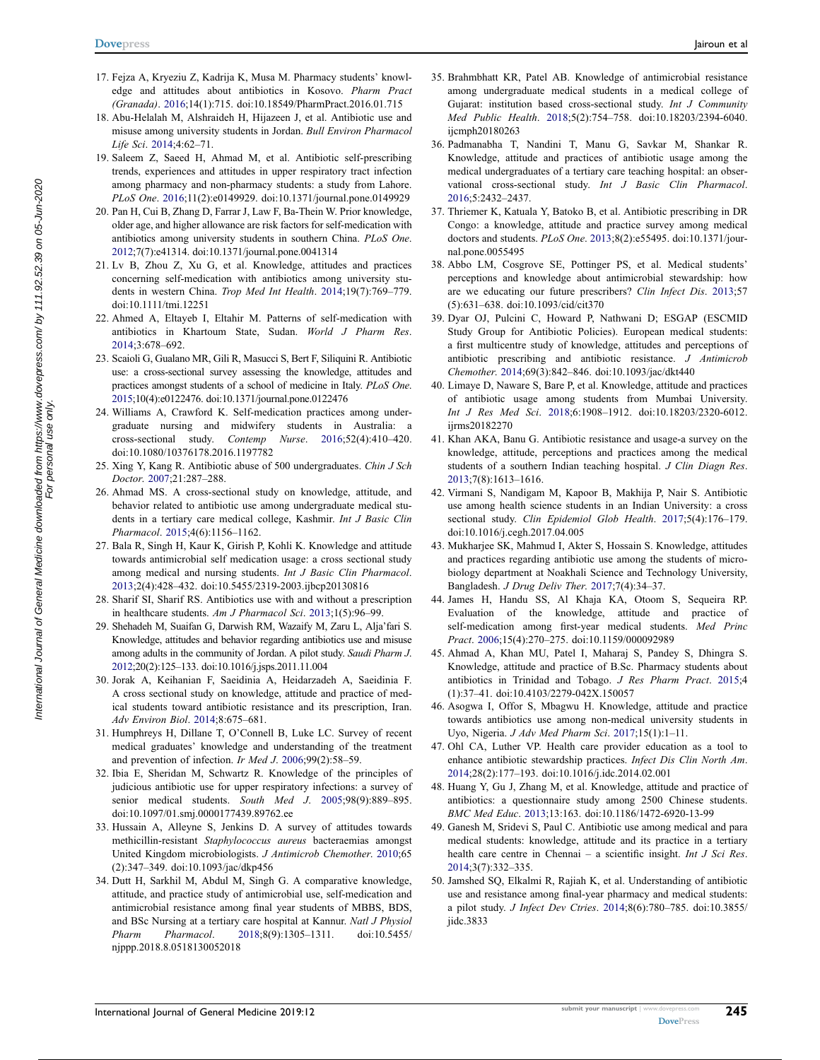- <span id="page-10-0"></span>17. Fejza A, Kryeziu Z, Kadrija K, Musa M. Pharmacy students' knowledge and attitudes about antibiotics in Kosovo. Pharm Pract (Granada). [2016;](#page-7-4)14(1):715. doi:[10.18549/PharmPract.2016.01.715](https://doi.org/10.18549/PharmPract.2016.01.715)
- <span id="page-10-1"></span>18. Abu-Helalah M, Alshraideh H, Hijazeen J, et al. Antibiotic use and misuse among university students in Jordan. Bull Environ Pharmacol Life Sci. [2014](#page-7-4);4:62–71.
- <span id="page-10-2"></span>19. Saleem Z, Saeed H, Ahmad M, et al. Antibiotic self-prescribing trends, experiences and attitudes in upper respiratory tract infection among pharmacy and non-pharmacy students: a study from Lahore. PLoS One. [2016;](#page-8-0)11(2):e0149929. doi:[10.1371/journal.pone.0149929](https://doi.org/10.1371/journal.pone.0149929)
- <span id="page-10-3"></span>20. Pan H, Cui B, Zhang D, Farrar J, Law F, Ba-Thein W. Prior knowledge, older age, and higher allowance are risk factors for self-medication with antibiotics among university students in southern China. PLoS One. [2012](#page-8-0);7(7):e41314. doi:[10.1371/journal.pone.0041314](https://doi.org/10.1371/journal.pone.0041314)
- <span id="page-10-4"></span>21. Lv B, Zhou Z, Xu G, et al. Knowledge, attitudes and practices concerning self-medication with antibiotics among university students in western China. Trop Med Int Health. [2014;](#page-8-1)19(7):769–779. doi:[10.1111/tmi.12251](https://doi.org/10.1111/tmi.12251)
- <span id="page-10-5"></span>22. Ahmed A, Eltayeb I, Eltahir M. Patterns of self-medication with antibiotics in Khartoum State, Sudan. World J Pharm Res. [2014;](#page-8-2)3:678–692.
- <span id="page-10-6"></span>23. Scaioli G, Gualano MR, Gili R, Masucci S, Bert F, Siliquini R. Antibiotic use: a cross-sectional survey assessing the knowledge, attitudes and practices amongst students of a school of medicine in Italy. PLoS One. [2015](#page-8-3);10(4):e0122476. doi:[10.1371/journal.pone.0122476](https://doi.org/10.1371/journal.pone.0122476)
- <span id="page-10-7"></span>24. Williams A, Crawford K. Self-medication practices among undergraduate nursing and midwifery students in Australia: a cross-sectional study. Contemp Nurse. [2016;](#page-8-4)52(4):410–420. doi:[10.1080/10376178.2016.1197782](https://doi.org/10.1080/10376178.2016.1197782)
- <span id="page-10-8"></span>25. Xing Y, Kang R. Antibiotic abuse of 500 undergraduates. Chin J Sch Doctor. [2007;](#page-8-5)21:287–288.
- <span id="page-10-9"></span>26. Ahmad MS. A cross-sectional study on knowledge, attitude, and behavior related to antibiotic use among undergraduate medical students in a tertiary care medical college, Kashmir. Int J Basic Clin Pharmacol. [2015;](#page-8-6)4(6):1156–1162.
- <span id="page-10-10"></span>27. Bala R, Singh H, Kaur K, Girish P, Kohli K. Knowledge and attitude towards antimicrobial self medication usage: a cross sectional study among medical and nursing students. Int J Basic Clin Pharmacol. [2013;](#page-8-5)2(4):428–432. doi:[10.5455/2319-2003.ijbcp20130816](https://doi.org/10.5455/2319-2003.ijbcp20130816)
- <span id="page-10-11"></span>28. Sharif SI, Sharif RS. Antibiotics use with and without a prescription in healthcare students. Am J Pharmacol Sci. [2013](#page-8-7);1(5):96–99.
- <span id="page-10-12"></span>29. Shehadeh M, Suaifan G, Darwish RM, Wazaify M, Zaru L, Alja'fari S. Knowledge, attitudes and behavior regarding antibiotics use and misuse among adults in the community of Jordan. A pilot study. Saudi Pharm J. [2012](#page-8-8);20(2):125–133. doi:[10.1016/j.jsps.2011.11.004](https://doi.org/10.1016/j.jsps.2011.11.004)
- <span id="page-10-16"></span>30. Jorak A, Keihanian F, Saeidinia A, Heidarzadeh A, Saeidinia F. A cross sectional study on knowledge, attitude and practice of medical students toward antibiotic resistance and its prescription, Iran. Adv Environ Biol. [2014;](#page-8-9)8:675–681.
- 31. Humphreys H, Dillane T, O'Connell B, Luke LC. Survey of recent medical graduates' knowledge and understanding of the treatment and prevention of infection. Ir Med J. 2006;99(2):58–59.
- 32. Ibia E, Sheridan M, Schwartz R. Knowledge of the principles of judicious antibiotic use for upper respiratory infections: a survey of senior medical students. South Med J. 2005;98(9):889-895. doi:[10.1097/01.smj.0000177439.89762.ee](https://doi.org/10.1097/01.smj.0000177439.89762.ee)
- <span id="page-10-13"></span>33. Hussain A, Alleyne S, Jenkins D. A survey of attitudes towards methicillin-resistant Staphylococcus aureus bacteraemias amongst United Kingdom microbiologists. J Antimicrob Chemother. [2010](#page-8-10);65 (2):347–349. doi:[10.1093/jac/dkp456](https://doi.org/10.1093/jac/dkp456)
- <span id="page-10-14"></span>34. Dutt H, Sarkhil M, Abdul M, Singh G. A comparative knowledge, attitude, and practice study of antimicrobial use, self-medication and antimicrobial resistance among final year students of MBBS, BDS, and BSc Nursing at a tertiary care hospital at Kannur. Natl J Physiol Pharm Pharmacol. [2018](#page-8-11);8(9):1305–1311. doi:[10.5455/](https://doi.org/10.5455/njppp.2018.8.0518130052018) [njppp.2018.8.0518130052018](https://doi.org/10.5455/njppp.2018.8.0518130052018)
- <span id="page-10-15"></span>35. Brahmbhatt KR, Patel AB. Knowledge of antimicrobial resistance among undergraduate medical students in a medical college of Gujarat: institution based cross-sectional study. Int J Community Med Public Health. [2018](#page-8-12);5(2):754–758. doi:[10.18203/2394-6040.](https://doi.org/10.18203/2394-6040.ijcmph20180263) [ijcmph20180263](https://doi.org/10.18203/2394-6040.ijcmph20180263)
- <span id="page-10-17"></span>36. Padmanabha T, Nandini T, Manu G, Savkar M, Shankar R. Knowledge, attitude and practices of antibiotic usage among the medical undergraduates of a tertiary care teaching hospital: an observational cross-sectional study. Int J Basic Clin Pharmacol. [2016](#page-8-12);5:2432–2437.
- 37. Thriemer K, Katuala Y, Batoko B, et al. Antibiotic prescribing in DR Congo: a knowledge, attitude and practice survey among medical doctors and students. PLoS One. 2013;8(2):e55495. doi:[10.1371/jour](https://doi.org/10.1371/journal.pone.0055495)[nal.pone.0055495](https://doi.org/10.1371/journal.pone.0055495)
- <span id="page-10-18"></span>38. Abbo LM, Cosgrove SE, Pottinger PS, et al. Medical students' perceptions and knowledge about antimicrobial stewardship: how are we educating our future prescribers? Clin Infect Dis. [2013](#page-8-13);57 (5):631–638. doi:[10.1093/cid/cit370](https://doi.org/10.1093/cid/cit370)
- <span id="page-10-19"></span>39. Dyar OJ, Pulcini C, Howard P, Nathwani D; ESGAP (ESCMID Study Group for Antibiotic Policies). European medical students: a first multicentre study of knowledge, attitudes and perceptions of antibiotic prescribing and antibiotic resistance. J Antimicrob Chemother. [2014](#page-8-12);69(3):842–846. doi:[10.1093/jac/dkt440](https://doi.org/10.1093/jac/dkt440)
- <span id="page-10-20"></span>40. Limaye D, Naware S, Bare P, et al. Knowledge, attitude and practices of antibiotic usage among students from Mumbai University. Int J Res Med Sci. [2018;](#page-8-14)6:1908–1912. doi:[10.18203/2320-6012.](https://doi.org/10.18203/2320-6012.ijrms20182270) [ijrms20182270](https://doi.org/10.18203/2320-6012.ijrms20182270)
- <span id="page-10-21"></span>41. Khan AKA, Banu G. Antibiotic resistance and usage-a survey on the knowledge, attitude, perceptions and practices among the medical students of a southern Indian teaching hospital. J Clin Diagn Res. [2013](#page-8-1);7(8):1613–1616.
- <span id="page-10-22"></span>42. Virmani S, Nandigam M, Kapoor B, Makhija P, Nair S. Antibiotic use among health science students in an Indian University: a cross sectional study. Clin Epidemiol Glob Health. [2017;](#page-8-15)5(4):176-179. doi:[10.1016/j.cegh.2017.04.005](https://doi.org/10.1016/j.cegh.2017.04.005)
- <span id="page-10-23"></span>43. Mukharjee SK, Mahmud I, Akter S, Hossain S. Knowledge, attitudes and practices regarding antibiotic use among the students of microbiology department at Noakhali Science and Technology University, Bangladesh. J Drug Deliv Ther. [2017](#page-8-16);7(4):34–37.
- 44. James H, Handu SS, Al Khaja KA, Otoom S, Sequeira RP. Evaluation of the knowledge, attitude and practice of self-medication among first-year medical students. Med Princ Pract. 2006;15(4):270–275. doi:[10.1159/000092989](https://doi.org/10.1159/000092989)
- <span id="page-10-28"></span>45. Ahmad A, Khan MU, Patel I, Maharaj S, Pandey S, Dhingra S. Knowledge, attitude and practice of B.Sc. Pharmacy students about antibiotics in Trinidad and Tobago. J Res Pharm Pract. [2015](#page-8-17);4 (1):37–41. doi:[10.4103/2279-042X.150057](https://doi.org/10.4103/2279-042X.150057)
- <span id="page-10-24"></span>46. Asogwa I, Offor S, Mbagwu H. Knowledge, attitude and practice towards antibiotics use among non-medical university students in Uyo, Nigeria. J Adv Med Pharm Sci. [2017](#page-8-6);15(1):1–11.
- <span id="page-10-25"></span>47. Ohl CA, Luther VP. Health care provider education as a tool to enhance antibiotic stewardship practices. Infect Dis Clin North Am. [2014](#page-8-1);28(2):177–193. doi:[10.1016/j.idc.2014.02.001](https://doi.org/10.1016/j.idc.2014.02.001)
- <span id="page-10-26"></span>48. Huang Y, Gu J, Zhang M, et al. Knowledge, attitude and practice of antibiotics: a questionnaire study among 2500 Chinese students. BMC Med Educ. [2013;](#page-8-8)13:163. doi:[10.1186/1472-6920-13-99](https://doi.org/10.1186/1472-6920-13-99)
- <span id="page-10-27"></span>49. Ganesh M, Sridevi S, Paul C. Antibiotic use among medical and para medical students: knowledge, attitude and its practice in a tertiary health care centre in Chennai – a scientific insight. Int J Sci Res. [2014](#page-8-8);3(7):332–335.
- <span id="page-10-29"></span>50. Jamshed SQ, Elkalmi R, Rajiah K, et al. Understanding of antibiotic use and resistance among final-year pharmacy and medical students: a pilot study. J Infect Dev Ctries. [2014;](#page-8-17)8(6):780–785. doi:[10.3855/](https://doi.org/10.3855/jidc.3833) iidc.3833